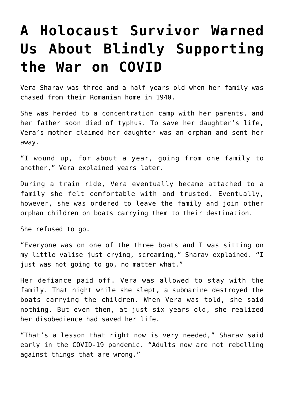## **[A Holocaust Survivor Warned](https://intellectualtakeout.org/2022/03/a-holocaust-survivor-warned-us-about-blindly-supporting-the-war-on-covid/) [Us About Blindly Supporting](https://intellectualtakeout.org/2022/03/a-holocaust-survivor-warned-us-about-blindly-supporting-the-war-on-covid/) [the War on COVID](https://intellectualtakeout.org/2022/03/a-holocaust-survivor-warned-us-about-blindly-supporting-the-war-on-covid/)**

Vera Sharav was three and a half years old when her family was chased from their Romanian home in 1940.

She was herded to a concentration camp with her parents, and her father soon died of typhus. To save her daughter's life, Vera's mother claimed her daughter was an orphan and sent her away.

"I wound up, for about a year, going from one family to another," Vera explained years later.

During a train ride, Vera eventually became attached to a family she felt comfortable with and trusted. Eventually, however, she was ordered to leave the family and join other orphan children on boats carrying them to their destination.

She refused to go.

"Everyone was on one of the three boats and I was sitting on my little valise just crying, screaming," Sharav explained. "I just was not going to go, no matter what."

Her defiance paid off. Vera was allowed to stay with the family. That night while she slept, a submarine destroyed the boats carrying the children. When Vera was told, she said nothing. But even then, at just six years old, she realized her disobedience had saved her life.

"That's a lesson that right now is very needed," Sharav said early in the COVID-19 pandemic. "Adults now are not rebelling against things that are wrong."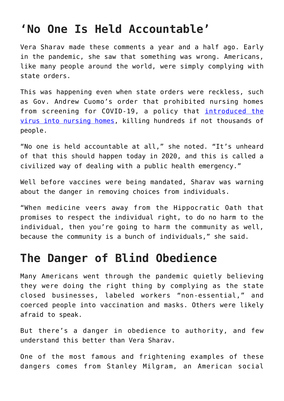## **'No One Is Held Accountable'**

Vera Sharav made these comments a year and a half ago. Early in the pandemic, she saw that something was wrong. Americans, like many people around the world, were simply complying with state orders.

This was happening even when state orders were reckless, such as Gov. Andrew Cuomo's order that prohibited nursing homes from screening for COVID-19, a policy that [introduced the](https://docs.google.com/document/d/19NgNYWMtjFsOgweNAukeXgFtYkiSbsY4hnDnJya1Dno/edit) [virus into nursing homes,](https://docs.google.com/document/d/19NgNYWMtjFsOgweNAukeXgFtYkiSbsY4hnDnJya1Dno/edit) killing hundreds if not thousands of people.

"No one is held accountable at all," she noted. "It's unheard of that this should happen today in 2020, and this is called a civilized way of dealing with a public health emergency."

Well before vaccines were being mandated, Sharav was warning about the danger in removing choices from individuals.

"When medicine veers away from the Hippocratic Oath that promises to respect the individual right, to do no harm to the individual, then you're going to harm the community as well, because the community is a bunch of individuals," she said.

## **The Danger of Blind Obedience**

Many Americans went through the pandemic quietly believing they were doing the right thing by complying as the state closed businesses, labeled workers "non-essential," and coerced people into vaccination and masks. Others were likely afraid to speak.

But there's a danger in obedience to authority, and few understand this better than Vera Sharav.

One of the most famous and frightening examples of these dangers comes from Stanley Milgram, an American social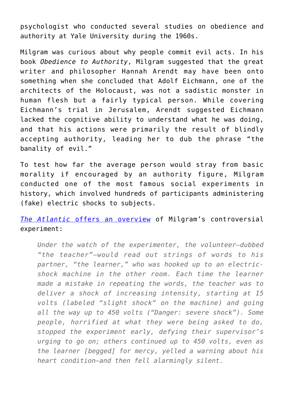psychologist who conducted several studies on obedience and authority at Yale University during the 1960s.

Milgram was curious about why people commit evil acts. In his book *Obedience to Authority*, Milgram suggested that the great writer and philosopher Hannah Arendt may have been onto something when she concluded that Adolf Eichmann, one of the architects of the Holocaust, was not a sadistic monster in human flesh but a fairly typical person. While covering Eichmann's trial in Jerusalem, Arendt suggested Eichmann lacked the cognitive ability to understand what he was doing, and that his actions were primarily the result of blindly accepting authority, leading her to dub the phrase "the banality of evil."

To test how far the average person would stray from basic morality if encouraged by an authority figure, Milgram conducted one of the most famous social experiments in history, which involved hundreds of participants administering (fake) electric shocks to subjects.

*[The Atlantic](https://www.theatlantic.com/health/archive/2015/01/rethinking-one-of-psychologys-most-infamous-experiments/384913/)* [offers an overview](https://www.theatlantic.com/health/archive/2015/01/rethinking-one-of-psychologys-most-infamous-experiments/384913/) of Milgram's controversial experiment:

*Under the watch of the experimenter, the volunteer—dubbed "the teacher"—would read out strings of words to his partner, "the learner," who was hooked up to an electricshock machine in the other room. Each time the learner made a mistake in repeating the words, the teacher was to deliver a shock of increasing intensity, starting at 15 volts (labeled "slight shock" on the machine) and going all the way up to 450 volts ("Danger: severe shock"). Some people, horrified at what they were being asked to do, stopped the experiment early, defying their supervisor's urging to go on; others continued up to 450 volts, even as the learner [begged] for mercy, yelled a warning about his heart condition—and then fell alarmingly silent.*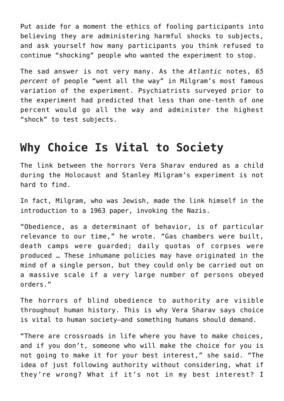Put aside for a moment the ethics of fooling participants into believing they are administering harmful shocks to subjects, and ask yourself how many participants you think refused to continue "shocking" people who wanted the experiment to stop.

The sad answer is not very many. As the *Atlantic* notes, *65 percent* of people "went all the way" in Milgram's most famous variation of the experiment. Psychiatrists surveyed prior to the experiment had predicted that less than one-tenth of one percent would go all the way and administer the highest "shock" to test subjects.

## **Why Choice Is Vital to Society**

The link between the horrors Vera Sharav endured as a child during the Holocaust and Stanley Milgram's experiment is not hard to find.

In fact, Milgram, who was Jewish, made the link himself in the introduction to a 1963 paper, invoking the Nazis.

"Obedience, as a determinant of behavior, is of particular relevance to our time," he wrote. "Gas chambers were built, death camps were guarded; daily quotas of corpses were produced … These inhumane policies may have originated in the mind of a single person, but they could only be carried out on a massive scale if a very large number of persons obeyed orders."

The horrors of blind obedience to authority are visible throughout human history. This is why Vera Sharav says choice is vital to human society—and something humans should demand.

"There are crossroads in life where you have to make choices, and if you don't, someone who will make the choice for you is not going to make it for your best interest," she said. "The idea of just following authority without considering, what if they're wrong? What if it's not in my best interest? I